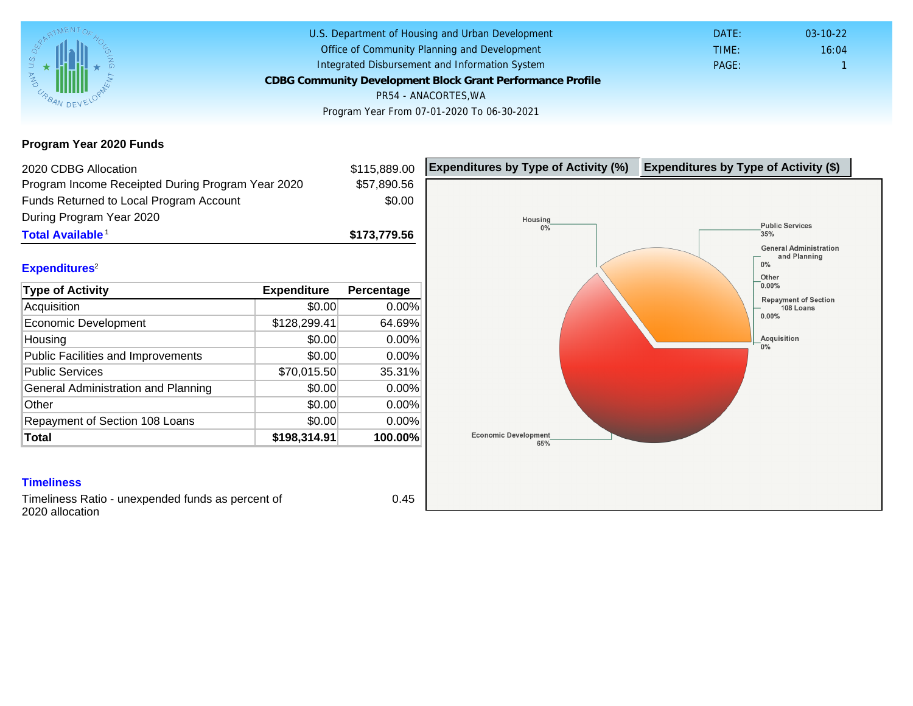Program Year 2020 Funds

| 2020 CDBG Allocation                              |              | \$115,889.00 | Expenditures by Type of Activity (%) | Expenditure |
|---------------------------------------------------|--------------|--------------|--------------------------------------|-------------|
| Program Income Receipted During Program Year 2020 |              | \$57,890.56  |                                      |             |
| Funds Returned to Local Program Account           |              | \$0.00       |                                      |             |
| During Program Year 2020                          |              |              |                                      |             |
| Total Available <sup>1</sup>                      |              | \$173,779.56 |                                      |             |
| Expenditures <sup>2</sup>                         |              |              |                                      |             |
| Type of Activity                                  | Expenditure  | Percentage   |                                      |             |
| Acquisition                                       | \$0.00       | $0.00\%$     |                                      |             |
| Economic Development                              | \$128,299.41 | 64.69%       |                                      |             |
| Housing                                           | \$0.00       | 0.00%        |                                      |             |
| Public Facilities and Improvements                | \$0.00       | 0.00%        |                                      |             |
| <b>Public Services</b>                            | \$70,015.50  | 35.31%       |                                      |             |
| General Administration and Planning               | \$0.00       | 0.00%        |                                      |             |
| Other                                             | \$0.00       | 0.00%        |                                      |             |
| Repayment of Section 108 Loans                    | \$0.00       | 0.00%        |                                      |             |
| Total                                             | \$198,314.91 | 100.00%      |                                      |             |

## **Timeliness**

Timeliness Ratio - unexpended funds as percent of 2020 allocation

0.45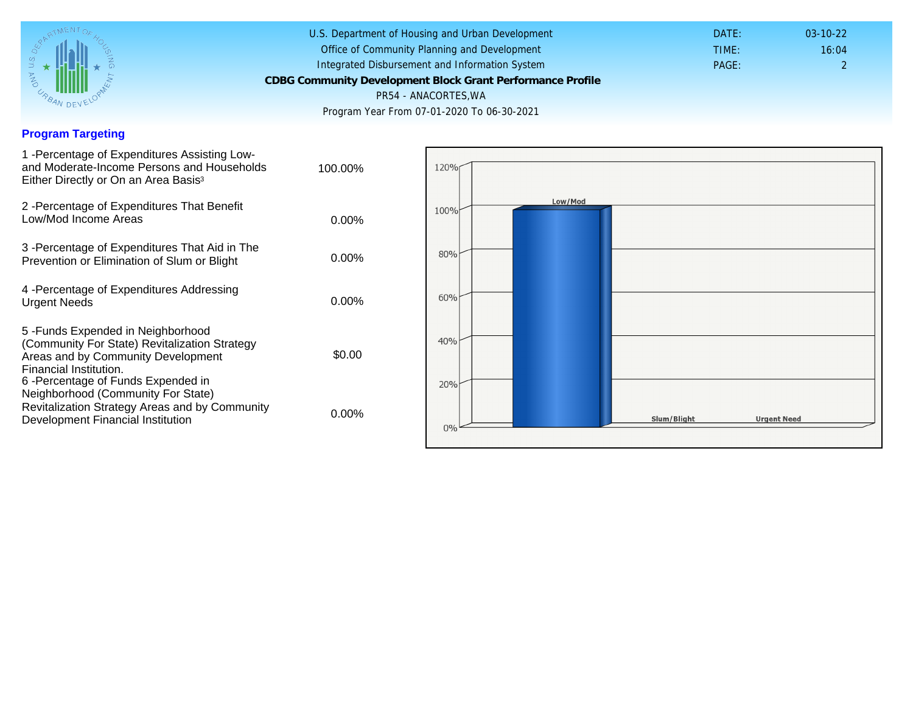## Program Targeting

| 1 -Percentage of Expenditures Assisting Low-<br>and Moderate-Income Persons and Households<br>Either Directly or On an Area Basis <sup>3</sup>                                                                               | 100.00%  |
|------------------------------------------------------------------------------------------------------------------------------------------------------------------------------------------------------------------------------|----------|
| 2 - Percentage of Expenditures That Benefit<br>Low/Mod Income Areas                                                                                                                                                          | $0.00\%$ |
| 3 -Percentage of Expenditures That Aid in The<br>Prevention or Elimination of Slum or Blight                                                                                                                                 | $0.00\%$ |
| 4 - Percentage of Expenditures Addressing<br><b>Urgent Needs</b>                                                                                                                                                             | $0.00\%$ |
| 5-Funds Expended in Neighborhood<br>(Community For State) Revitalization Strategy<br>Areas and by Community Development<br>Financial Institution.<br>6-Percentage of Funds Expended in<br>Neighborhood (Community For State) | \$0.00   |
| Revitalization Strategy Areas and by Community<br>Development Financial Institution                                                                                                                                          | $0.00\%$ |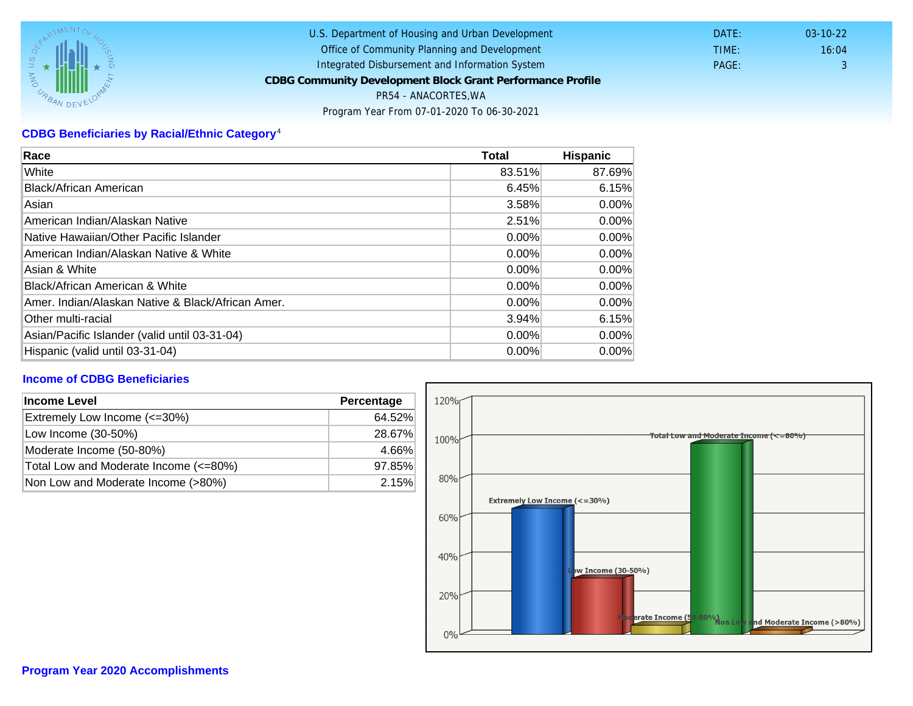# CDBG Beneficiaries by Racial/Ethnic Category <sup>4</sup>

| Race                                              | Total    | Hispanic |
|---------------------------------------------------|----------|----------|
| White                                             | 83.51%   | 87.69%   |
| Black/African American                            | 6.45%    | 6.15%    |
| Asian                                             | 3.58%    | $0.00\%$ |
| IAmerican Indian/Alaskan Native                   | 2.51%    | $0.00\%$ |
| lNative Hawaiian/Other Pacific Islander           | $0.00\%$ | $0.00\%$ |
| American Indian/Alaskan Native & White            | $0.00\%$ | $0.00\%$ |
| Asian & White                                     | 0.00%    | $0.00\%$ |
| Black/African American & White                    | $0.00\%$ | 0.00%    |
| Amer. Indian/Alaskan Native & Black/African Amer. | $0.00\%$ | $0.00\%$ |
| Other multi-racial                                | 3.94%    | 6.15%    |
| Asian/Pacific Islander (valid until 03-31-04)     | 0.00%    | 0.00%    |
| Hispanic (valid until 03-31-04)                   | $0.00\%$ | $0.00\%$ |

## Income of CDBG Beneficiaries

| Income Level                          | Percentage |
|---------------------------------------|------------|
| Extremely Low Income (<=30%)          | 64.52%     |
| Low Income (30-50%)                   | 28.67%     |
| Moderate Income (50-80%)              | 4.66%      |
| Total Low and Moderate Income (<=80%) | 97.85%     |
| Non Low and Moderate Income (>80%)    | 2.15%      |